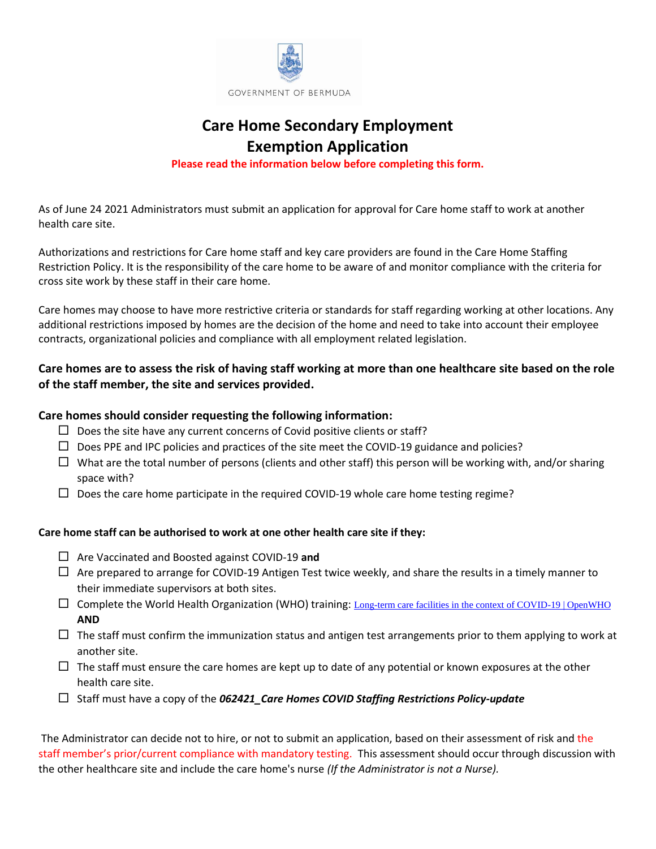

## **Care Home Secondary Employment Exemption Application**

**Please read the information below before completing this form.**

As of June 24 2021 Administrators must submit an application for approval for Care home staff to work at another health care site.

Authorizations and restrictions for Care home staff and key care providers are found in the Care Home Staffing Restriction Policy. It is the responsibility of the care home to be aware of and monitor compliance with the criteria for cross site work by these staff in their care home.

Care homes may choose to have more restrictive criteria or standards for staff regarding working at other locations. Any additional restrictions imposed by homes are the decision of the home and need to take into account their employee contracts, organizational policies and compliance with all employment related legislation.

### **Care homes are to assess the risk of having staff working at more than one healthcare site based on the role of the staff member, the site and services provided.**

#### **Care homes should consider requesting the following information:**

- $\square$  Does the site have any current concerns of Covid positive clients or staff?
- $\Box$  Does PPE and IPC policies and practices of the site meet the COVID-19 guidance and policies?
- $\Box$  What are the total number of persons (clients and other staff) this person will be working with, and/or sharing space with?
- $\Box$  Does the care home participate in the required COVID-19 whole care home testing regime?

#### **Care home staff can be authorised to work at one other health care site if they:**

- Are Vaccinated and Boosted against COVID-19 **and**
- $\Box$  Are prepared to arrange for COVID-19 Antigen Test twice weekly, and share the results in a timely manner to their immediate supervisors at both sites.
- $\square$  Complete the World Health Organization (WHO) training: [Long-term care facilities in the context of COVID-19 | OpenWHO](https://openwho.org/courses/LTCF-COVID-19) **AND**
- $\Box$  The staff must confirm the immunization status and antigen test arrangements prior to them applying to work at another site.
- $\Box$  The staff must ensure the care homes are kept up to date of any potential or known exposures at the other health care site.
- Staff must have a copy of the *062421\_Care Homes COVID Staffing Restrictions Policy-update*

The Administrator can decide not to hire, or not to submit an application, based on their assessment of risk and the staff member's prior/current compliance with mandatory testing. This assessment should occur through discussion with the other healthcare site and include the care home's nurse *(If the Administrator is not a Nurse).*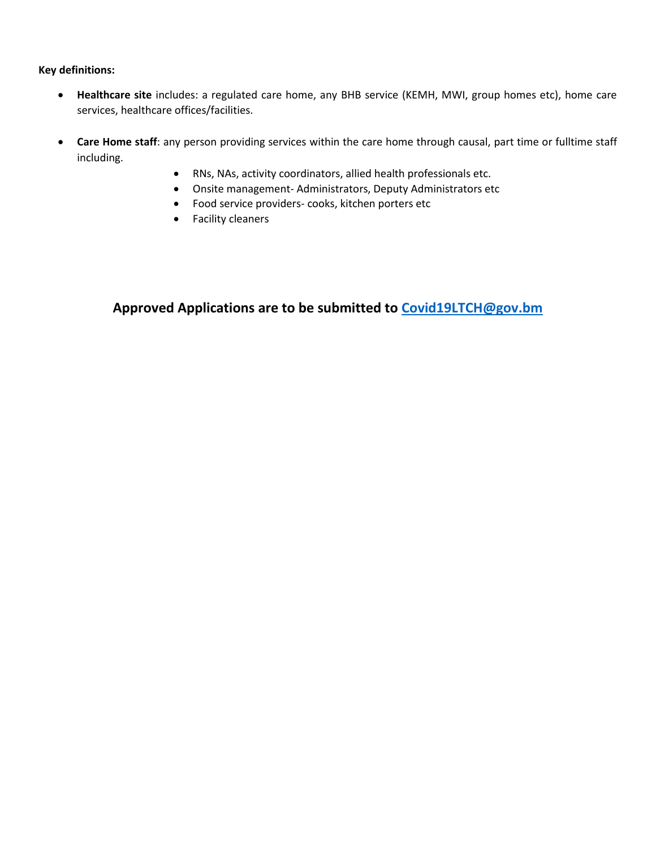**Key definitions:**

- **Healthcare site** includes: a regulated care home, any BHB service (KEMH, MWI, group homes etc), home care services, healthcare offices/facilities.
- **Care Home staff**: any person providing services within the care home through causal, part time or fulltime staff including.
	- RNs, NAs, activity coordinators, allied health professionals etc.
	- Onsite management- Administrators, Deputy Administrators etc
	- Food service providers- cooks, kitchen porters etc
	- Facility cleaners

**Approved Applications are to be submitted to Covid19LTCH@gov.bm**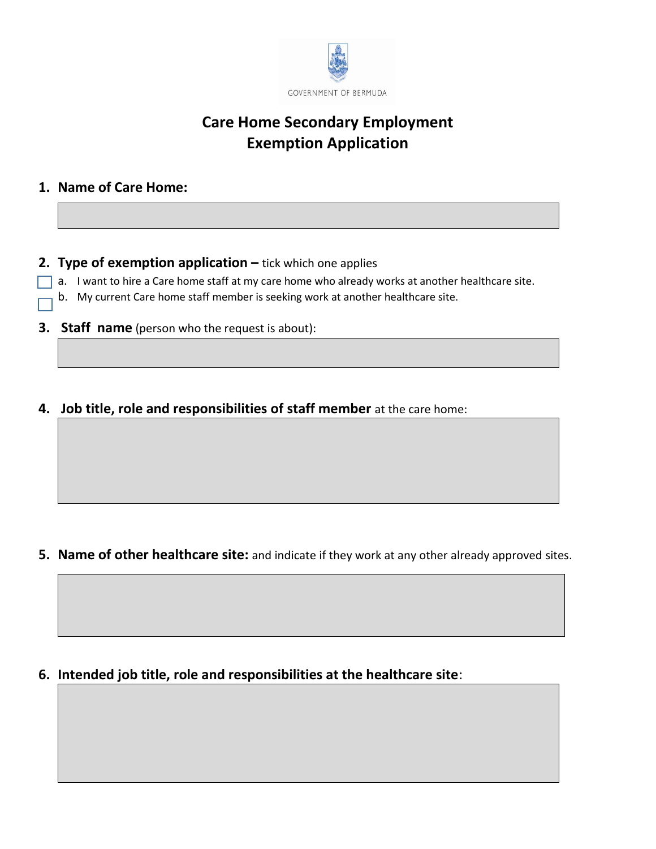

# **Care Home Secondary Employment Exemption Application**

## **1. Name of Care Home:**

## **2. Type of exemption application** – tick which one applies

- $\Box$  a. I want to hire a Care home staff at my care home who already works at another healthcare site.
	- b. My current Care home staff member is seeking work at another healthcare site.
- **3. Staff name** (person who the request is about):
- **4. Job title, role and responsibilities of staff member** at the care home:

**5. Name of other healthcare site:** and indicate if they work at any other already approved sites.

**6. Intended job title, role and responsibilities at the healthcare site**: